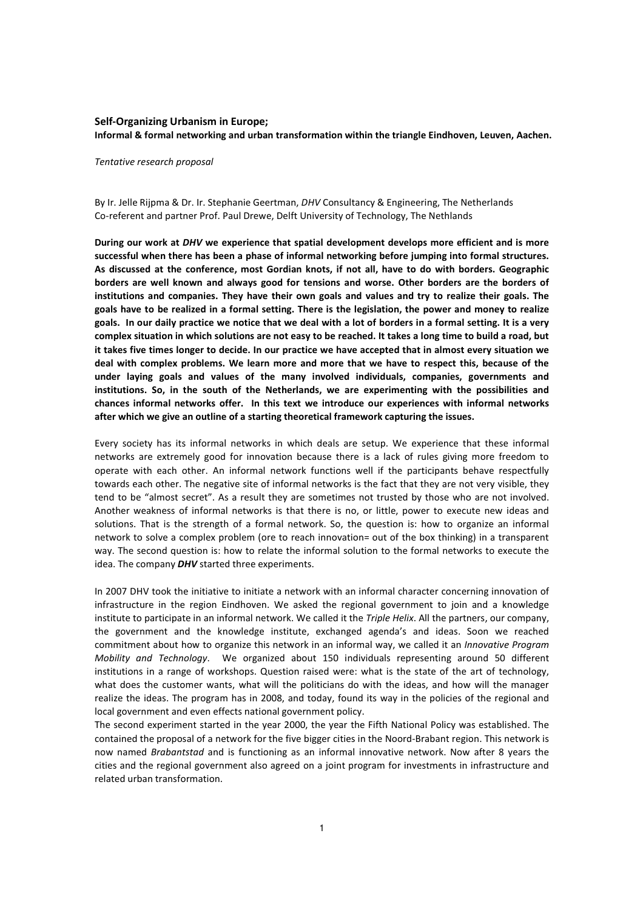# Self-Organizing Urbanism in Europe; Informal & formal networking and urban transformation within the triangle Eindhoven, Leuven, Aachen.

### Tentative research proposal

By Ir. Jelle Rijpma & Dr. Ir. Stephanie Geertman, DHV Consultancy & Engineering, The Netherlands Co-referent and partner Prof. Paul Drewe, Delft University of Technology, The Nethlands

During our work at DHV we experience that spatial development develops more efficient and is more successful when there has been a phase of informal networking before jumping into formal structures. As discussed at the conference, most Gordian knots, if not all, have to do with borders. Geographic borders are well known and always good for tensions and worse. Other borders are the borders of institutions and companies. They have their own goals and values and try to realize their goals. The goals have to be realized in a formal setting. There is the legislation, the power and money to realize goals. In our daily practice we notice that we deal with a lot of borders in a formal setting. It is a very complex situation in which solutions are not easy to be reached. It takes a long time to build a road, but it takes five times longer to decide. In our practice we have accepted that in almost every situation we deal with complex problems. We learn more and more that we have to respect this, because of the under laying goals and values of the many involved individuals, companies, governments and institutions. So, in the south of the Netherlands, we are experimenting with the possibilities and chances informal networks offer. In this text we introduce our experiences with informal networks after which we give an outline of a starting theoretical framework capturing the issues.

Every society has its informal networks in which deals are setup. We experience that these informal networks are extremely good for innovation because there is a lack of rules giving more freedom to operate with each other. An informal network functions well if the participants behave respectfully towards each other. The negative site of informal networks is the fact that they are not very visible, they tend to be "almost secret". As a result they are sometimes not trusted by those who are not involved. Another weakness of informal networks is that there is no, or little, power to execute new ideas and solutions. That is the strength of a formal network. So, the question is: how to organize an informal network to solve a complex problem (ore to reach innovation= out of the box thinking) in a transparent way. The second question is: how to relate the informal solution to the formal networks to execute the idea. The company **DHV** started three experiments.

In 2007 DHV took the initiative to initiate a network with an informal character concerning innovation of infrastructure in the region Eindhoven. We asked the regional government to join and a knowledge institute to participate in an informal network. We called it the Triple Helix. All the partners, our company, the government and the knowledge institute, exchanged agenda's and ideas. Soon we reached commitment about how to organize this network in an informal way, we called it an Innovative Program Mobility and Technology. We organized about 150 individuals representing around 50 different institutions in a range of workshops. Question raised were: what is the state of the art of technology, what does the customer wants, what will the politicians do with the ideas, and how will the manager realize the ideas. The program has in 2008, and today, found its way in the policies of the regional and local government and even effects national government policy.

The second experiment started in the year 2000, the year the Fifth National Policy was established. The contained the proposal of a network for the five bigger cities in the Noord-Brabant region. This network is now named Brabantstad and is functioning as an informal innovative network. Now after 8 years the cities and the regional government also agreed on a joint program for investments in infrastructure and related urban transformation.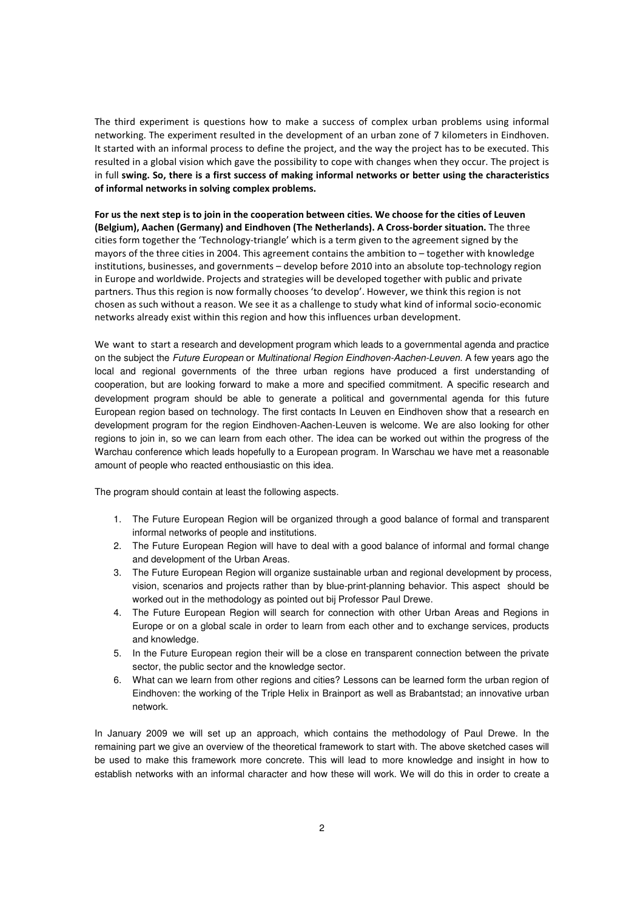The third experiment is questions how to make a success of complex urban problems using informal networking. The experiment resulted in the development of an urban zone of 7 kilometers in Eindhoven. It started with an informal process to define the project, and the way the project has to be executed. This resulted in a global vision which gave the possibility to cope with changes when they occur. The project is in full swing. So, there is a first success of making informal networks or better using the characteristics of informal networks in solving complex problems.

For us the next step is to join in the cooperation between cities. We choose for the cities of Leuven (Belgium), Aachen (Germany) and Eindhoven (The Netherlands). A Cross-border situation. The three cities form together the 'Technology-triangle' which is a term given to the agreement signed by the mayors of the three cities in 2004. This agreement contains the ambition to – together with knowledge institutions, businesses, and governments – develop before 2010 into an absolute top-technology region in Europe and worldwide. Projects and strategies will be developed together with public and private partners. Thus this region is now formally chooses 'to develop'. However, we think this region is not chosen as such without a reason. We see it as a challenge to study what kind of informal socio-economic networks already exist within this region and how this influences urban development.

We want to start a research and development program which leads to a governmental agenda and practice on the subject the Future European or Multinational Region Eindhoven-Aachen-Leuven. A few years ago the local and regional governments of the three urban regions have produced a first understanding of cooperation, but are looking forward to make a more and specified commitment. A specific research and development program should be able to generate a political and governmental agenda for this future European region based on technology. The first contacts In Leuven en Eindhoven show that a research en development program for the region Eindhoven-Aachen-Leuven is welcome. We are also looking for other regions to join in, so we can learn from each other. The idea can be worked out within the progress of the Warchau conference which leads hopefully to a European program. In Warschau we have met a reasonable amount of people who reacted enthousiastic on this idea.

The program should contain at least the following aspects.

- 1. The Future European Region will be organized through a good balance of formal and transparent informal networks of people and institutions.
- 2. The Future European Region will have to deal with a good balance of informal and formal change and development of the Urban Areas.
- 3. The Future European Region will organize sustainable urban and regional development by process, vision, scenarios and projects rather than by blue-print-planning behavior. This aspect should be worked out in the methodology as pointed out bij Professor Paul Drewe.
- 4. The Future European Region will search for connection with other Urban Areas and Regions in Europe or on a global scale in order to learn from each other and to exchange services, products and knowledge.
- 5. In the Future European region their will be a close en transparent connection between the private sector, the public sector and the knowledge sector.
- 6. What can we learn from other regions and cities? Lessons can be learned form the urban region of Eindhoven: the working of the Triple Helix in Brainport as well as Brabantstad; an innovative urban network.

In January 2009 we will set up an approach, which contains the methodology of Paul Drewe. In the remaining part we give an overview of the theoretical framework to start with. The above sketched cases will be used to make this framework more concrete. This will lead to more knowledge and insight in how to establish networks with an informal character and how these will work. We will do this in order to create a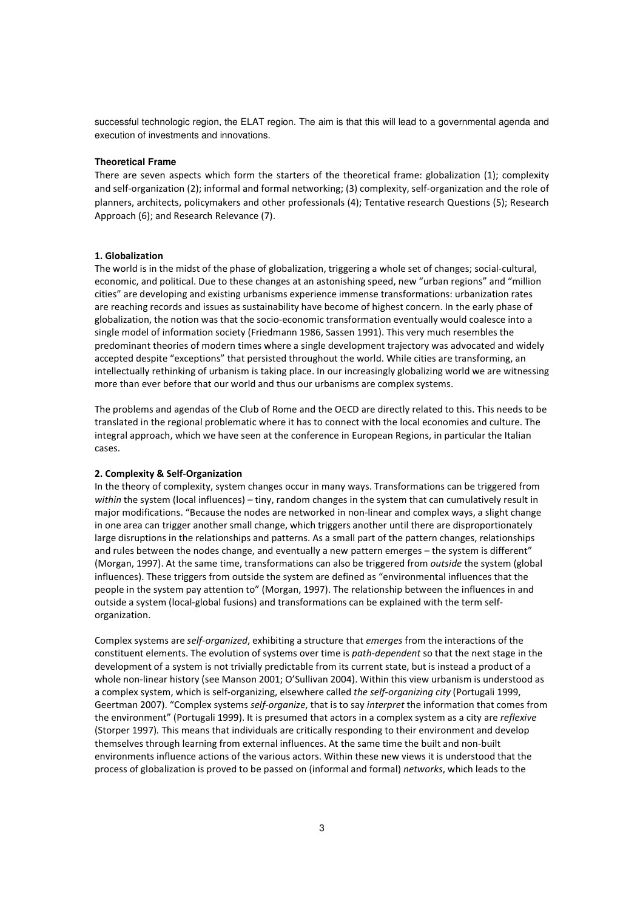successful technologic region, the ELAT region. The aim is that this will lead to a governmental agenda and execution of investments and innovations.

## **Theoretical Frame**

There are seven aspects which form the starters of the theoretical frame: globalization (1); complexity and self-organization (2); informal and formal networking; (3) complexity, self-organization and the role of planners, architects, policymakers and other professionals (4); Tentative research Questions (5); Research Approach (6); and Research Relevance (7).

## 1. Globalization

The world is in the midst of the phase of globalization, triggering a whole set of changes; social-cultural, economic, and political. Due to these changes at an astonishing speed, new "urban regions" and "million cities" are developing and existing urbanisms experience immense transformations: urbanization rates are reaching records and issues as sustainability have become of highest concern. In the early phase of globalization, the notion was that the socio-economic transformation eventually would coalesce into a single model of information society (Friedmann 1986, Sassen 1991). This very much resembles the predominant theories of modern times where a single development trajectory was advocated and widely accepted despite "exceptions" that persisted throughout the world. While cities are transforming, an intellectually rethinking of urbanism is taking place. In our increasingly globalizing world we are witnessing more than ever before that our world and thus our urbanisms are complex systems.

The problems and agendas of the Club of Rome and the OECD are directly related to this. This needs to be translated in the regional problematic where it has to connect with the local economies and culture. The integral approach, which we have seen at the conference in European Regions, in particular the Italian cases.

# 2. Complexity & Self-Organization

In the theory of complexity, system changes occur in many ways. Transformations can be triggered from within the system (local influences) – tiny, random changes in the system that can cumulatively result in major modifications. "Because the nodes are networked in non-linear and complex ways, a slight change in one area can trigger another small change, which triggers another until there are disproportionately large disruptions in the relationships and patterns. As a small part of the pattern changes, relationships and rules between the nodes change, and eventually a new pattern emerges – the system is different" (Morgan, 1997). At the same time, transformations can also be triggered from outside the system (global influences). These triggers from outside the system are defined as "environmental influences that the people in the system pay attention to" (Morgan, 1997). The relationship between the influences in and outside a system (local-global fusions) and transformations can be explained with the term selforganization.

Complex systems are self-organized, exhibiting a structure that emerges from the interactions of the constituent elements. The evolution of systems over time is path-dependent so that the next stage in the development of a system is not trivially predictable from its current state, but is instead a product of a whole non-linear history (see Manson 2001; O'Sullivan 2004). Within this view urbanism is understood as a complex system, which is self-organizing, elsewhere called the self-organizing city (Portugali 1999, Geertman 2007). "Complex systems self-organize, that is to say interpret the information that comes from the environment" (Portugali 1999). It is presumed that actors in a complex system as a city are reflexive (Storper 1997). This means that individuals are critically responding to their environment and develop themselves through learning from external influences. At the same time the built and non-built environments influence actions of the various actors. Within these new views it is understood that the process of globalization is proved to be passed on (informal and formal) networks, which leads to the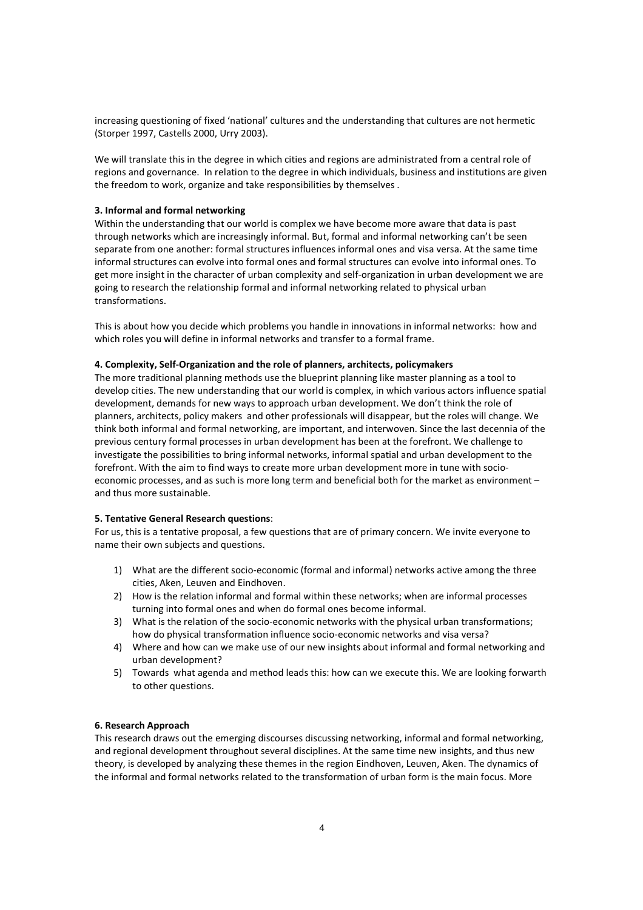increasing questioning of fixed 'national' cultures and the understanding that cultures are not hermetic (Storper 1997, Castells 2000, Urry 2003).

We will translate this in the degree in which cities and regions are administrated from a central role of regions and governance. In relation to the degree in which individuals, business and institutions are given the freedom to work, organize and take responsibilities by themselves .

## 3. Informal and formal networking

Within the understanding that our world is complex we have become more aware that data is past through networks which are increasingly informal. But, formal and informal networking can't be seen separate from one another: formal structures influences informal ones and visa versa. At the same time informal structures can evolve into formal ones and formal structures can evolve into informal ones. To get more insight in the character of urban complexity and self-organization in urban development we are going to research the relationship formal and informal networking related to physical urban transformations.

This is about how you decide which problems you handle in innovations in informal networks: how and which roles you will define in informal networks and transfer to a formal frame.

## 4. Complexity, Self-Organization and the role of planners, architects, policymakers

The more traditional planning methods use the blueprint planning like master planning as a tool to develop cities. The new understanding that our world is complex, in which various actors influence spatial development, demands for new ways to approach urban development. We don't think the role of planners, architects, policy makers and other professionals will disappear, but the roles will change. We think both informal and formal networking, are important, and interwoven. Since the last decennia of the previous century formal processes in urban development has been at the forefront. We challenge to investigate the possibilities to bring informal networks, informal spatial and urban development to the forefront. With the aim to find ways to create more urban development more in tune with socioeconomic processes, and as such is more long term and beneficial both for the market as environment – and thus more sustainable.

### 5. Tentative General Research questions:

For us, this is a tentative proposal, a few questions that are of primary concern. We invite everyone to name their own subjects and questions.

- 1) What are the different socio-economic (formal and informal) networks active among the three cities, Aken, Leuven and Eindhoven.
- 2) How is the relation informal and formal within these networks; when are informal processes turning into formal ones and when do formal ones become informal.
- 3) What is the relation of the socio-economic networks with the physical urban transformations; how do physical transformation influence socio-economic networks and visa versa?
- 4) Where and how can we make use of our new insights about informal and formal networking and urban development?
- 5) Towards what agenda and method leads this: how can we execute this. We are looking forwarth to other questions.

## 6. Research Approach

This research draws out the emerging discourses discussing networking, informal and formal networking, and regional development throughout several disciplines. At the same time new insights, and thus new theory, is developed by analyzing these themes in the region Eindhoven, Leuven, Aken. The dynamics of the informal and formal networks related to the transformation of urban form is the main focus. More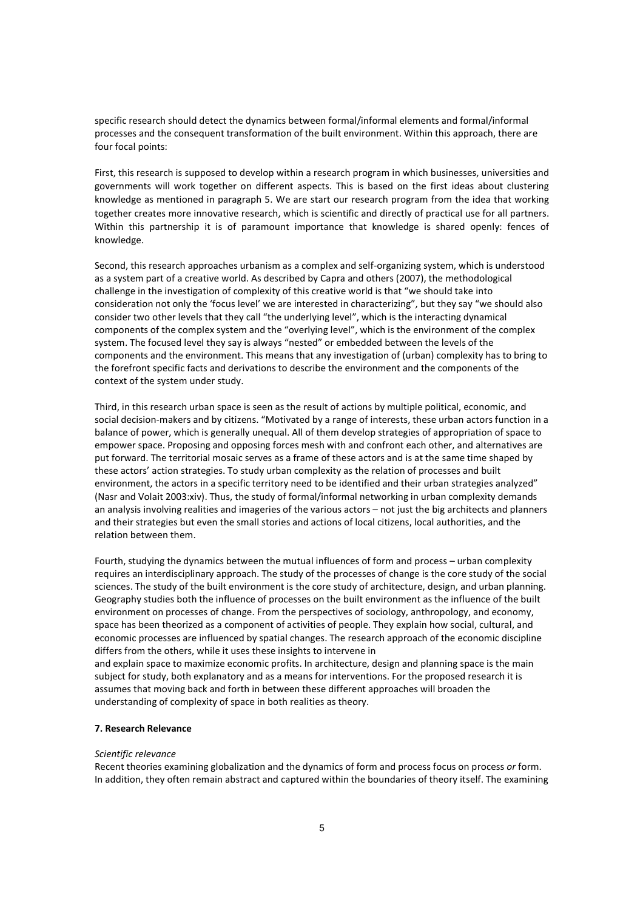specific research should detect the dynamics between formal/informal elements and formal/informal processes and the consequent transformation of the built environment. Within this approach, there are four focal points:

First, this research is supposed to develop within a research program in which businesses, universities and governments will work together on different aspects. This is based on the first ideas about clustering knowledge as mentioned in paragraph 5. We are start our research program from the idea that working together creates more innovative research, which is scientific and directly of practical use for all partners. Within this partnership it is of paramount importance that knowledge is shared openly: fences of knowledge.

Second, this research approaches urbanism as a complex and self-organizing system, which is understood as a system part of a creative world. As described by Capra and others (2007), the methodological challenge in the investigation of complexity of this creative world is that "we should take into consideration not only the 'focus level' we are interested in characterizing", but they say "we should also consider two other levels that they call "the underlying level", which is the interacting dynamical components of the complex system and the "overlying level", which is the environment of the complex system. The focused level they say is always "nested" or embedded between the levels of the components and the environment. This means that any investigation of (urban) complexity has to bring to the forefront specific facts and derivations to describe the environment and the components of the context of the system under study.

Third, in this research urban space is seen as the result of actions by multiple political, economic, and social decision-makers and by citizens. "Motivated by a range of interests, these urban actors function in a balance of power, which is generally unequal. All of them develop strategies of appropriation of space to empower space. Proposing and opposing forces mesh with and confront each other, and alternatives are put forward. The territorial mosaic serves as a frame of these actors and is at the same time shaped by these actors' action strategies. To study urban complexity as the relation of processes and built environment, the actors in a specific territory need to be identified and their urban strategies analyzed" (Nasr and Volait 2003:xiv). Thus, the study of formal/informal networking in urban complexity demands an analysis involving realities and imageries of the various actors – not just the big architects and planners and their strategies but even the small stories and actions of local citizens, local authorities, and the relation between them.

Fourth, studying the dynamics between the mutual influences of form and process – urban complexity requires an interdisciplinary approach. The study of the processes of change is the core study of the social sciences. The study of the built environment is the core study of architecture, design, and urban planning. Geography studies both the influence of processes on the built environment as the influence of the built environment on processes of change. From the perspectives of sociology, anthropology, and economy, space has been theorized as a component of activities of people. They explain how social, cultural, and economic processes are influenced by spatial changes. The research approach of the economic discipline differs from the others, while it uses these insights to intervene in

and explain space to maximize economic profits. In architecture, design and planning space is the main subject for study, both explanatory and as a means for interventions. For the proposed research it is assumes that moving back and forth in between these different approaches will broaden the understanding of complexity of space in both realities as theory.

# 7. Research Relevance

#### Scientific relevance

Recent theories examining globalization and the dynamics of form and process focus on process or form. In addition, they often remain abstract and captured within the boundaries of theory itself. The examining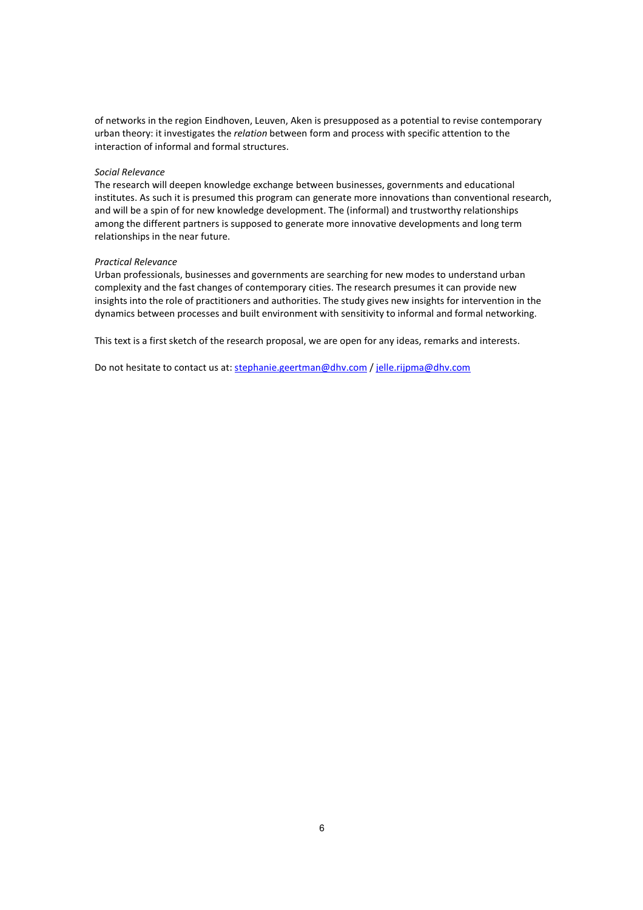of networks in the region Eindhoven, Leuven, Aken is presupposed as a potential to revise contemporary urban theory: it investigates the relation between form and process with specific attention to the interaction of informal and formal structures.

## Social Relevance

The research will deepen knowledge exchange between businesses, governments and educational institutes. As such it is presumed this program can generate more innovations than conventional research, and will be a spin of for new knowledge development. The (informal) and trustworthy relationships among the different partners is supposed to generate more innovative developments and long term relationships in the near future.

### Practical Relevance

Urban professionals, businesses and governments are searching for new modes to understand urban complexity and the fast changes of contemporary cities. The research presumes it can provide new insights into the role of practitioners and authorities. The study gives new insights for intervention in the dynamics between processes and built environment with sensitivity to informal and formal networking.

This text is a first sketch of the research proposal, we are open for any ideas, remarks and interests.

Do not hesitate to contact us at: stephanie.geertman@dhv.com / jelle.rijpma@dhv.com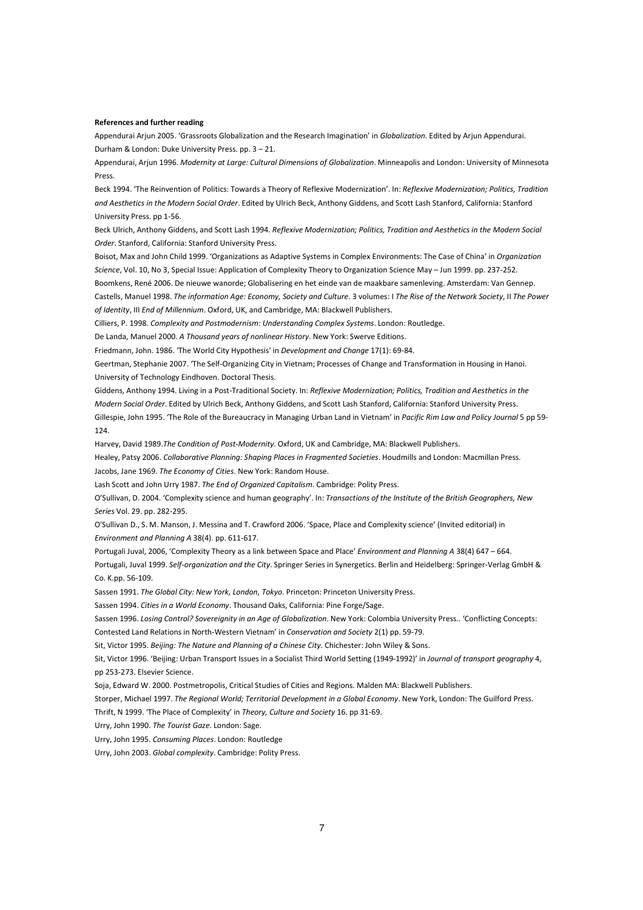#### References and further reading

Appendurai Arjun 2005. 'Grassroots Globalization and the Research Imagination' in Globalization. Edited by Arjun Appendurai. Durham & London: Duke University Press. pp. 3 – 21.

Appendurai, Arjun 1996. Modernity at Large: Cultural Dimensions of Globalization. Minneapolis and London: University of Minnesota Press.

Beck 1994. 'The Reinvention of Politics: Towards a Theory of Reflexive Modernization'. In: Reflexive Modernization; Politics, Tradition and Aesthetics in the Modern Social Order. Edited by Ulrich Beck, Anthony Giddens, and Scott Lash Stanford, California: Stanford University Press. pp 1-56.

Beck Ulrich, Anthony Giddens, and Scott Lash 1994. Reflexive Modernization; Politics, Tradition and Aesthetics in the Modern Social Order. Stanford, California: Stanford University Press.

Boisot, Max and John Child 1999. 'Organizations as Adaptive Systems in Complex Environments: The Case of China' in Organization Science, Vol. 10, No 3, Special Issue: Application of Complexity Theory to Organization Science May – Jun 1999. pp. 237-252.

Boomkens, René 2006. De nieuwe wanorde; Globalisering en het einde van de maakbare samenleving. Amsterdam: Van Gennep. Castells, Manuel 1998. The information Age: Economy, Society and Culture. 3 volumes: I The Rise of the Network Society, II The Power of Identity, III End of Millennium. Oxford, UK, and Cambridge, MA: Blackwell Publishers.

Cilliers, P. 1998. Complexity and Postmodernism: Understanding Complex Systems. London: Routledge.

De Landa, Manuel 2000. A Thousand years of nonlinear History. New York: Swerve Editions.

Friedmann, John. 1986. 'The World City Hypothesis' in Development and Change 17(1): 69-84.

Geertman, Stephanie 2007. 'The Self-Organizing City in Vietnam; Processes of Change and Transformation in Housing in Hanoi. University of Technology Eindhoven. Doctoral Thesis.

Giddens, Anthony 1994. Living in a Post-Traditional Society. In: Reflexive Modernization; Politics, Tradition and Aesthetics in the Modern Social Order. Edited by Ulrich Beck, Anthony Giddens, and Scott Lash Stanford, California: Stanford University Press. Gillespie, John 1995. 'The Role of the Bureaucracy in Managing Urban Land in Vietnam' in Pacific Rim Law and Policy Journal 5 pp 59- 124.

Harvey, David 1989.The Condition of Post-Modernity. Oxford, UK and Cambridge, MA: Blackwell Publishers.

Healey, Patsy 2006. Collaborative Planning: Shaping Places in Fragmented Societies. Houdmills and London: Macmillan Press. Jacobs, Jane 1969. The Economy of Cities. New York: Random House.

Lash Scott and John Urry 1987. The End of Organized Capitalism. Cambridge: Polity Press.

O'Sullivan, D. 2004. 'Complexity science and human geography'. In: Transactions of the Institute of the British Geographers, New Series Vol. 29. pp. 282-295.

O'Sullivan D., S. M. Manson, J. Messina and T. Crawford 2006. 'Space, Place and Complexity science' (Invited editorial) in Environment and Planning A 38(4). pp. 611-617.

Portugali Juval, 2006, 'Complexity Theory as a link between Space and Place' Environment and Planning A 38(4) 647 – 664.

Portugali, Juval 1999. Self-organization and the City. Springer Series in Synergetics. Berlin and Heidelberg: Springer-Verlag GmbH & Co. K.pp. 56-109.

Sassen 1991. The Global City: New York, London, Tokyo. Princeton: Princeton University Press.

Sassen 1994. Cities in a World Economy. Thousand Oaks, California: Pine Forge/Sage.

Sassen 1996. Losing Control? Sovereignity in an Age of Globalization. New York: Colombia University Press.. 'Conflicting Concepts: Contested Land Relations in North-Western Vietnam' in Conservation and Society 2(1) pp. 59-79.

Sit, Victor 1995. Beijing: The Nature and Planning of a Chinese City. Chichester: John Wiley & Sons.

Sit, Victor 1996. 'Beijing: Urban Transport Issues in a Socialist Third World Setting (1949-1992)' in Journal of transport geography 4, pp 253-273. Elsevier Science.

Soja, Edward W. 2000. Postmetropolis, Critical Studies of Cities and Regions. Malden MA: Blackwell Publishers.

Storper, Michael 1997. The Regional World; Territorial Development in a Global Economy. New York, London: The Guilford Press.

Thrift, N 1999. 'The Place of Complexity' in Theory, Culture and Society 16. pp 31-69.

Urry, John 1990. The Tourist Gaze. London: Sage.

Urry, John 1995. Consuming Places. London: Routledge

Urry, John 2003. Global complexity. Cambridge: Polity Press.